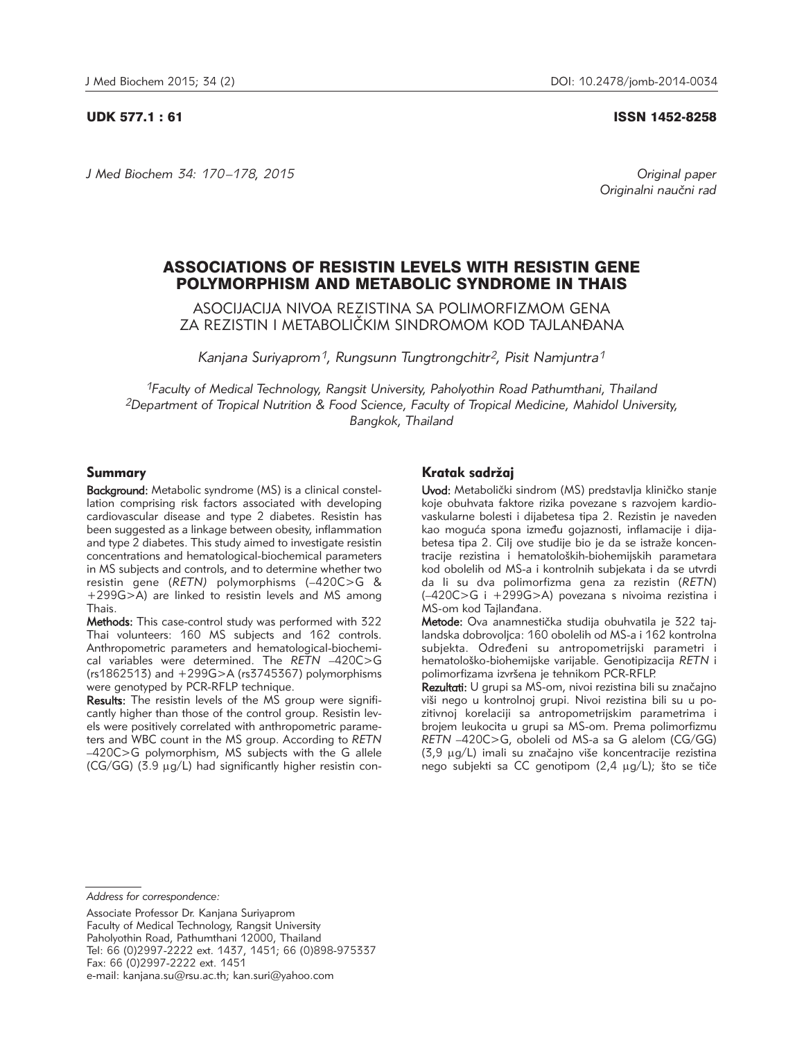UDK 577.1 : 61 ISSN 1452-8258

*J Med Biochem 34: 170 –178, 2015 Original paper*

Originalni naučni rad

# ASSOCIATIONS OF RESISTIN LEVELS WITH RESISTIN GENE POLYMORPHISM AND METABOLIC SYNDROME IN THAIS

ASOCIJACIJA NIVOA REZISTINA SA POLIMORFIZMOM GENA ZA REZISTIN I METABOLIČKIM SINDROMOM KOD TAJLANĐANA

*Kanjana Suriyaprom1, Rungsunn Tungtrongchitr2, Pisit Namjuntra1*

*1Faculty of Medical Technology, Rangsit University, Paholyothin Road Pathumthani, Thailand 2Department of Tropical Nutrition & Food Science, Faculty of Tropical Medicine, Mahidol University, Bangkok, Thailand*

# Summary

Background: Metabolic syndrome (MS) is a clinical constellation comprising risk factors associated with developing cardiovascular disease and type 2 diabetes. Resistin has been suggested as a linkage between obesity, inflammation and type 2 diabetes. This study aimed to investigate resistin concentrations and hematological-biochemical parameters in MS subjects and controls, and to determine whether two resistin gene (*RETN)* polymorphisms (–420C>G & +299G>A) are linked to resistin levels and MS among Thais.

Methods: This case-control study was performed with 322 Thai volunteers: 160 MS subjects and 162 controls. Anthropometric parameters and hematological-biochemical variables were determined. The *RETN* –420C>G (rs1862513) and +299G>A (rs3745367) polymorphisms were genotyped by PCR-RFLP technique.

Results: The resistin levels of the MS group were significantly higher than those of the control group. Resistin levels were positively correlated with anthropometric parameters and WBC count in the MS group. According to *RETN* –420C>G polymorphism, MS subjects with the G allele  $(CG/GG)$  (3.9  $\mu$ g/L) had significantly higher resistin con-

# Kratak sadržaj

Uvod: Metabolički sindrom (MS) predstavlja kliničko stanje koje obuhvata faktore rizika povezane s razvojem kardio vaskularne bolesti i dijabetesa tipa 2. Rezistin je naveden kao moguća spona između gojaznosti, inflamacije i dijabetesa tipa 2. Cilj ove studije bio je da se istraže koncentracije rezistina i hematoloških-biohemijskih parametara kod obolelih od MS-a i kontrolnih subjekata i da se utvrdi da li su dva polimorfizma gena za rezistin (*RETN*) (–420C>G i +299G>A) povezana s nivoima rezistina i MS-om kod Tajlanđana.

Metode: Ova anamnestička studija obuhvatila je 322 tajlandska dobrovoljca: 160 obolelih od MS-a i 162 kontrolna subjekta. Određeni su antropometrijski parametri i hematolo{ko-biohemijske varijable. Genotipizacija *RETN* i polimorfizama izvršena je tehnikom PCR-RFLP.

Rezultati: U grupi sa MS-om, nivoi rezistina bili su značajno viši nego u kontrolnoj grupi. Nivoi rezistina bili su u pozitivnoj korelaciji sa antropometrijskim parametrima i brojem leukocita u grupi sa MS-om. Prema polimorfizmu *RETN* –420C>G, oboleli od MS-a sa G alelom (CG/GG)  $(3,9 \mu g/L)$  imali su značajno više koncentracije rezistina nego subjekti sa CC genotipom  $(2,4 \mu q/L)$ ; što se tiče

*Address for correspondence:*

Associate Professor Dr. Kanjana Suriyaprom Faculty of Medical Technology, Rangsit University Paholyothin Road, Pathumthani 12000, Thailand Tel: 66 (0)2997-2222 ext. 1437, 1451; 66 (0)898-975337 Fax: 66 (0)2997-2222 ext. 1451 e-mail: kanjana.su@rsu.ac.th; kan.suri@yahoo.com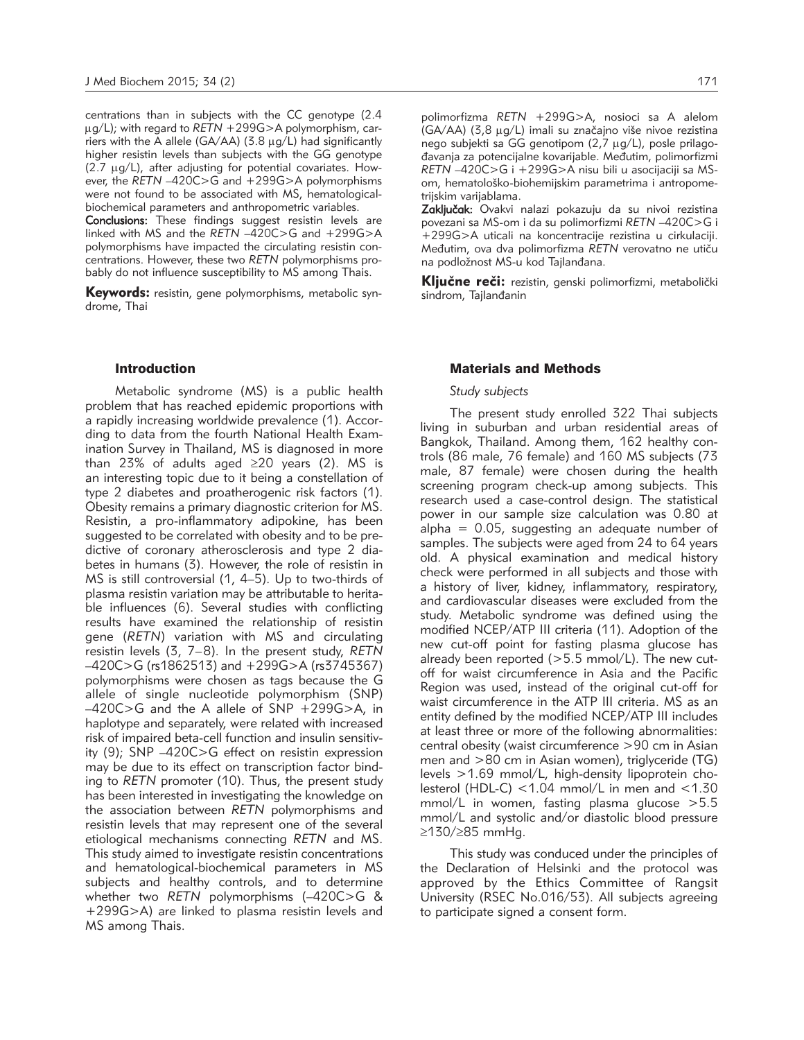centrations than in subjects with the CC genotype (2.4 μg/L); with regard to *RETN* +299G>A polymorphism, carriers with the A allele (GA/AA) (3.8  $\mu$ g/L) had significantly higher resistin levels than subjects with the GG genotype  $(2.7 \mu g/L)$ , after adjusting for potential covariates. However, the *RETN* -420C>G and +299G>A polymorphisms were not found to be associated with MS, hematologicalbiochemical parameters and anthropometric variables.

Conclusions: These findings suggest resistin levels are linked with MS and the *RETN* –420C>G and +299G>A polymorphisms have impacted the circulating resistin concentrations. However, these two *RETN* polymorphisms probably do not influence susceptibility to MS among Thais.

**Keywords:** resistin, gene polymorphisms, metabolic syndrome, Thai

# Introduction

Metabolic syndrome (MS) is a public health problem that has reached epidemic proportions with a rapidly increasing worldwide prevalence (1). According to data from the fourth National Health Examination Survey in Thailand, MS is diagnosed in more than 23% of adults aged  $\geq$ 20 years (2). MS is an interesting topic due to it being a constellation of type 2 diabetes and proatherogenic risk factors (1). Obesity remains a primary diagnostic criterion for MS. Resistin, a pro-inflammatory adipokine, has been suggested to be correlated with obesity and to be predictive of coronary atherosclerosis and type 2 diabetes in humans (3). However, the role of resistin in MS is still controversial (1, 4–5). Up to two-thirds of plasma resistin variation may be attributable to heritable influences (6). Several studies with conflicting results have examined the relationship of resistin gene (*RETN*) variation with MS and circulating resistin levels (3, 7–8). In the present study, *RETN* –420C>G (rs1862513) and +299G>A (rs3745367) polymorphisms were chosen as tags because the G allele of single nucleotide polymorphism (SNP) –420C>G and the A allele of SNP +299G>A, in haplotype and separately, were related with increased risk of impaired beta-cell function and insulin sensitivity (9); SNP –420C>G effect on resistin expression may be due to its effect on transcription factor binding to *RETN* promoter (10). Thus, the present study has been interested in investigating the knowledge on the association between *RETN* polymorphisms and resistin levels that may represent one of the several etiological mechanisms connecting *RETN* and MS. This study aimed to investigate resistin concentrations and hematological-biochemical parameters in MS subjects and healthy controls, and to determine whether two *RETN* polymorphisms (–420C>G & +299G>A) are linked to plasma resistin levels and MS among Thais.

polimorfizma *RETN* +299G>A, nosioci sa A alelom  $(GA/AA)$  (3,8 µg/L) imali su značajno više nivoe rezistina nego subjekti sa GG genotipom (2,7 µg/L), posle prilagođavanja za potencijalne kovarijable. Međutim, polimorfizmi *RETN* –420C>G i +299G>A nisu bili u asocijaciji sa MSom, hematološko-biohemijskim parametrima i antropometrijskim varijablama.

Zaključak: Ovakvi nalazi pokazuju da su nivoi rezistina povezani sa MS-om i da su polimorfizmi *RETN* –420C>G i +299G>A uticali na koncentracije rezistina u cirkulaciji. Međutim, ova dva polimorfizma *RETN* verovatno ne utiču na podložnost MS-u kod Tajlanđana.

Ključne reči: rezistin, genski polimorfizmi, metabolički sindrom, Tajlanđanin

# Materials and Methods

# *Study subjects*

The present study enrolled 322 Thai subjects living in suburban and urban residential areas of Bangkok, Thailand. Among them, 162 healthy controls (86 male, 76 female) and 160 MS subjects (73 male, 87 female) were chosen during the health screening program check-up among subjects. This research used a case-control design. The statistical power in our sample size calculation was 0.80 at alpha  $= 0.05$ , suggesting an adequate number of samples. The subjects were aged from 24 to 64 years old. A physical examination and medical history check were performed in all subjects and those with a history of liver, kidney, inflammatory, respiratory, and cardiovascular diseases were excluded from the study. Metabolic syndrome was defined using the modified NCEP/ATP III criteria (11). Adoption of the new cut-off point for fasting plasma glucose has already been reported (>5.5 mmol/L). The new cutoff for waist circumference in Asia and the Pacific Region was used, instead of the original cut-off for waist circumference in the ATP III criteria. MS as an entity defined by the modified NCEP/ATP III includes at least three or more of the following abnormalities: central obesity (waist circumference >90 cm in Asian men and >80 cm in Asian women), triglyceride (TG) levels >1.69 mmol/L, high-density lipoprotein cholesterol (HDL-C) <1.04 mmol/L in men and <1.30 mmol/L in women, fasting plasma glucose >5.5 mmol/L and systolic and/or diastolic blood pressure ≥130/≥85 mmHg.

This study was conduced under the principles of the Declaration of Helsinki and the protocol was approved by the Ethics Committee of Rangsit University (RSEC No.016/53). All subjects agreeing to participate signed a consent form.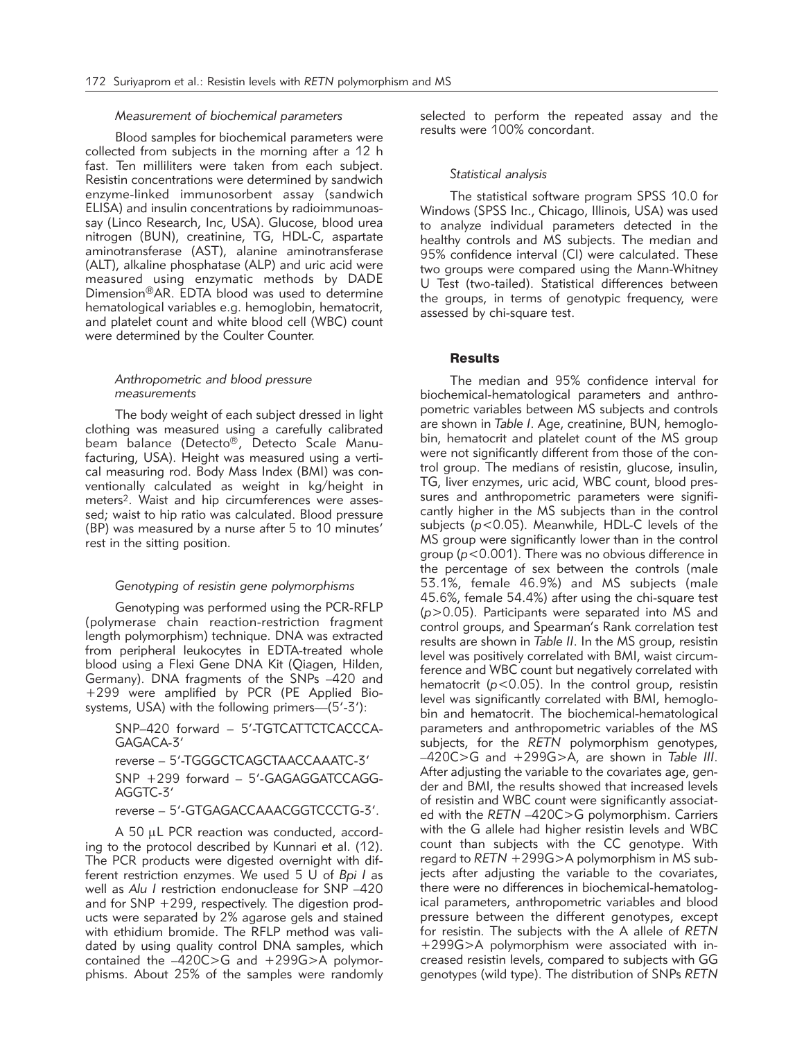#### *Measurement of biochemical parameters*

Blood samples for biochemical parameters were collected from subjects in the morning after a 12 h fast. Ten milliliters were taken from each subject. Resistin concentrations were determined by sandwich enzyme-linked immunosorbent assay (sandwich ELISA) and insulin concentrations by radioimmunoassay (Linco Research, Inc, USA). Glucose, blood urea nitrogen (BUN), creatinine, TG, HDL-C, aspartate aminotransferase (AST), alanine aminotransferase (ALT), alkaline phosphatase (ALP) and uric acid were measured using enzymatic methods by DADE Dimension®AR. EDTA blood was used to determine hematological variables e.g. hemoglobin, hematocrit, and platelet count and white blood cell (WBC) count were determined by the Coulter Counter.

# *Anthropometric and blood pressure measurements*

The body weight of each subject dressed in light clothing was measured using a carefully calibrated beam balance (Detecto<sup>®</sup>, Detecto Scale Manufacturing, USA). Height was measured using a vertical measuring rod. Body Mass Index (BMI) was conventionally calculated as weight in kg/height in meters<sup>2</sup>. Waist and hip circumferences were assessed; waist to hip ratio was calculated. Blood pressure (BP) was measured by a nurse after 5 to 10 minutes' rest in the sitting position.

# *Genotyping of resistin gene polymorphisms*

Genotyping was performed using the PCR-RFLP (polymerase chain reaction-restriction fragment length polymorphism) technique. DNA was extracted from peripheral leukocytes in EDTA-treated whole blood using a Flexi Gene DNA Kit (Qiagen, Hilden, Germany). DNA fragments of the SNPs –420 and +299 were amplified by PCR (PE Applied Biosystems, USA) with the following primers—(5'-3'):

SNP–420 forward – 5'-TGTCATTCTCACCCA-GAGACA-3'

reverse – 5'-TGGGCTCAGCTAACCAAATC-3' SNP +299 forward - 5'-GAGAGGATCCAGG-AGGTC-3'

reverse – 5'-GTGAGACCAAACGGTCCCTG-3'.

A 50 µL PCR reaction was conducted, according to the protocol described by Kunnari et al. (12). The PCR products were digested overnight with different restriction enzymes. We used 5 U of *Bpi I* as well as *Alu I* restriction endonuclease for SNP –420 and for SNP +299, respectively. The digestion products were separated by 2% agarose gels and stained with ethidium bromide. The RFLP method was validated by using quality control DNA samples, which contained the –420C>G and +299G>A polymorphisms. About 25% of the samples were randomly

selected to perform the repeated assay and the results were 100% concordant.

#### *Statistical analysis*

The statistical software program SPSS 10.0 for Windows (SPSS Inc., Chicago, Illinois, USA) was used to analyze individual parameters detected in the healthy controls and MS subjects. The median and 95% confidence interval (CI) were calculated. These two groups were compared using the Mann-Whitney U Test (two-tailed). Statistical differences between the groups, in terms of genotypic frequency, were assessed by chi-square test.

# **Results**

The median and 95% confidence interval for biochemical-hematological parameters and anthropometric variables between MS subjects and controls are shown in *Table I*. Age, creatinine, BUN, hemoglobin, hematocrit and platelet count of the MS group were not significantly different from those of the control group. The medians of resistin, glucose, insulin, TG, liver enzymes, uric acid, WBC count, blood pressures and anthropometric parameters were significantly higher in the MS subjects than in the control subjects (*p*<0.05). Meanwhile, HDL-C levels of the MS group were significantly lower than in the control group (*p*<0.001). There was no obvious difference in the percentage of sex between the controls (male 53.1%, female 46.9%) and MS subjects (male 45.6%, female 54.4%) after using the chi-square test (*p*>0.05). Participants were separated into MS and control groups, and Spearman's Rank correlation test results are shown in *Table II*. In the MS group, resistin level was positively correlated with BMI, waist circumference and WBC count but negatively correlated with hematocrit (*p*<0.05). In the control group, resistin level was significantly correlated with BMI, hemoglobin and hematocrit. The biochemical-hematological parameters and anthropometric variables of the MS subjects, for the *RETN* polymorphism genotypes, –420C>G and +299G>A, are shown in *Table III*. After adjusting the variable to the covariates age, gender and BMI, the results showed that increased levels of resistin and WBC count were significantly associated with the *RETN* –420C>G polymorphism. Carriers with the G allele had higher resistin levels and WBC count than subjects with the CC genotype. With regard to *RETN* +299G>A polymorphism in MS subjects after adjusting the variable to the covariates, there were no differences in biochemical-hematological parameters, anthropometric variables and blood pressure between the different genotypes, except for resistin. The subjects with the A allele of *RETN* +299G>A polymorphism were associated with increased resistin levels, compared to subjects with GG genotypes (wild type). The distribution of SNPs *RETN*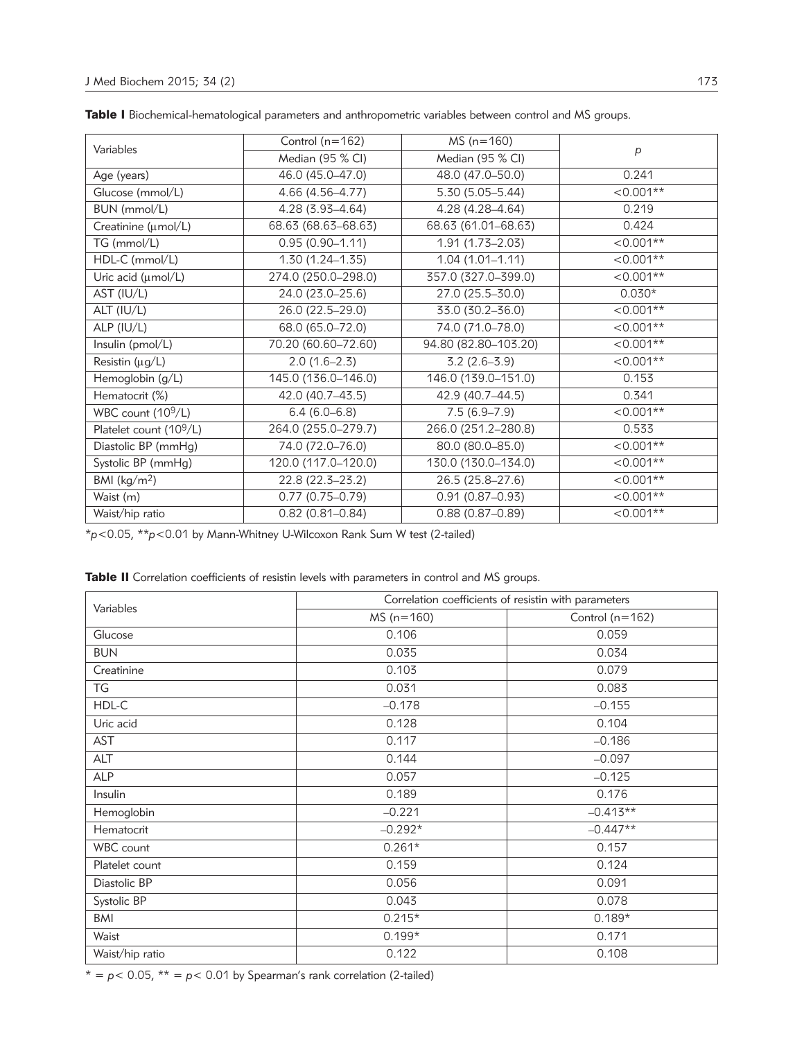| Variables                           | Control ( $n=162$ ) | $MS(n=160)$          |             |
|-------------------------------------|---------------------|----------------------|-------------|
|                                     | Median (95 % CI)    | Median (95 % CI)     | р           |
|                                     |                     |                      |             |
| Age (years)                         | 46.0 (45.0-47.0)    | 48.0 (47.0-50.0)     | 0.241       |
| Glucose (mmol/L)                    | 4.66 (4.56-4.77)    | $5.30(5.05 - 5.44)$  | $< 0.001**$ |
| BUN (mmol/L)                        | 4.28 (3.93-4.64)    | $4.28(4.28 - 4.64)$  | 0.219       |
| Creatinine (umol/L)                 | 68.63 (68.63-68.63) | 68.63 (61.01-68.63)  | 0.424       |
| TG (mmol/L)                         | $0.95(0.90 - 1.11)$ | $1.91(1.73 - 2.03)$  | $< 0.001**$ |
| $HDL-C$ (mmol/L)                    | $1.30(1.24 - 1.35)$ | $1.04(1.01 - 1.11)$  | $< 0.001**$ |
| Uric acid (umol/L)                  | 274.0 (250.0-298.0) | 357.0 (327.0-399.0)  | $< 0.001**$ |
| AST (IU/L)                          | 24.0 (23.0-25.6)    | 27.0 (25.5-30.0)     | $0.030*$    |
| ALT (IU/L)                          | 26.0 (22.5-29.0)    | 33.0 (30.2-36.0)     | $<0.001**$  |
| ALP (IU/L)                          | 68.0 (65.0-72.0)    | 74.0 (71.0-78.0)     | $< 0.001**$ |
| Insulin (pmol/L)                    | 70.20 (60.60-72.60) | 94.80 (82.80-103.20) | $< 0.001**$ |
| Resistin (µg/L)                     | $2.0(1.6-2.3)$      | $3.2(2.6 - 3.9)$     | $< 0.001**$ |
| Hemoglobin (g/L)                    | 145.0 (136.0-146.0) | 146.0 (139.0-151.0)  | 0.153       |
| Hematocrit (%)                      | 42.0 (40.7-43.5)    | 42.9 (40.7-44.5)     | 0.341       |
| WBC count (10 <sup>9</sup> /L)      | $6.4(6.0-6.8)$      | $7.5(6.9 - 7.9)$     | $< 0.001**$ |
| Platelet count (10 <sup>9</sup> /L) | 264.0 (255.0-279.7) | 266.0 (251.2-280.8)  | 0.533       |
| Diastolic BP (mmHg)                 | 74.0 (72.0-76.0)    | 80.0 (80.0-85.0)     | $< 0.001**$ |
| Systolic BP (mmHg)                  | 120.0 (117.0-120.0) | 130.0 (130.0-134.0)  | $< 0.001**$ |
| BMI ( $kg/m2$ )                     | 22.8 (22.3-23.2)    | 26.5 (25.8-27.6)     | $< 0.001**$ |
| Waist (m)                           | $0.77(0.75 - 0.79)$ | $0.91(0.87 - 0.93)$  | $< 0.001**$ |
| Waist/hip ratio                     | $0.82$ (0.81-0.84)  | $0.88(0.87 - 0.89)$  | $< 0.001**$ |

Table I Biochemical-hematological parameters and anthropometric variables between control and MS groups.

\**p*<0.05, \*\**p*<0.01 by Mann-Whitney U-Wilcoxon Rank Sum W test (2-tailed)

|  |  | Table II Correlation coefficients of resistin levels with parameters in control and MS groups. |  |  |  |  |  |  |
|--|--|------------------------------------------------------------------------------------------------|--|--|--|--|--|--|
|--|--|------------------------------------------------------------------------------------------------|--|--|--|--|--|--|

|                  | Correlation coefficients of resistin with parameters |                     |  |  |  |
|------------------|------------------------------------------------------|---------------------|--|--|--|
| Variables        | $MS(n=160)$                                          | Control ( $n=162$ ) |  |  |  |
| Glucose          | 0.106                                                | 0.059               |  |  |  |
| <b>BUN</b>       | 0.035                                                | 0.034               |  |  |  |
| Creatinine       | 0.103                                                | 0.079               |  |  |  |
| TG               | 0.031                                                | 0.083               |  |  |  |
| HDL-C            | $-0.178$                                             | $-0.155$            |  |  |  |
| Uric acid        | 0.128                                                | 0.104               |  |  |  |
| AST              | 0.117                                                | $-0.186$            |  |  |  |
| ALT              | 0.144                                                | $-0.097$            |  |  |  |
| <b>ALP</b>       | 0.057                                                | $-0.125$            |  |  |  |
| Insulin          | 0.189                                                | 0.176               |  |  |  |
| Hemoglobin       | $-0.221$                                             | $-0.413**$          |  |  |  |
| Hematocrit       | $-0.292*$                                            | $-0.447**$          |  |  |  |
| <b>WBC</b> count | $0.261*$                                             | 0.157               |  |  |  |
| Platelet count   | 0.159                                                | 0.124               |  |  |  |
| Diastolic BP     | 0.056                                                | 0.091               |  |  |  |
| Systolic BP      | 0.043                                                | 0.078               |  |  |  |
| BMI              | $0.215*$                                             | $0.189*$            |  |  |  |
| Waist            | $0.199*$                                             | 0.171               |  |  |  |
| Waist/hip ratio  | 0.122                                                | 0.108               |  |  |  |

 $* = p < 0.05$ ,  $** = p < 0.01$  by Spearman's rank correlation (2-tailed)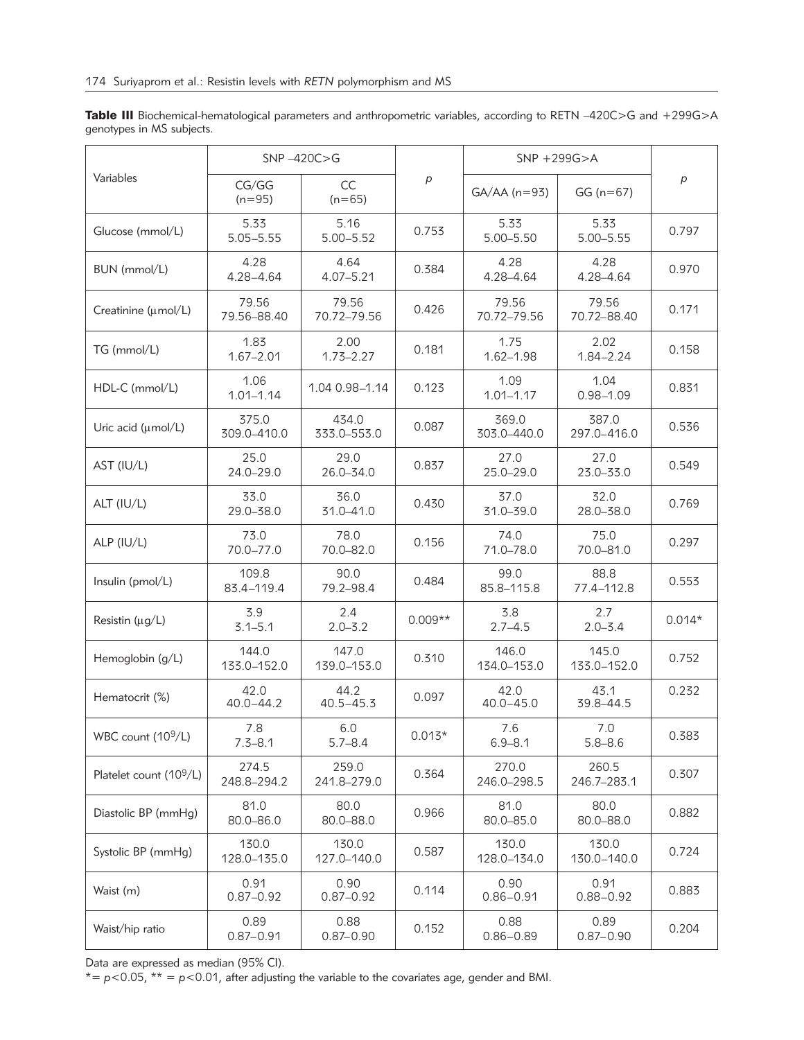Table III Biochemical-hematological parameters and anthropometric variables, according to RETN -420C>G and +299G>A genotypes in MS subjects.

| Variables                           | $SNP - 420C > G$      |                       |                | $SNP + 299G > A$      |                       |          |
|-------------------------------------|-----------------------|-----------------------|----------------|-----------------------|-----------------------|----------|
|                                     | CG/GG<br>$(n=95)$     | <b>CC</b><br>$(n=65)$ | $\overline{p}$ | $GA/AA$ (n=93)        | $GG (n = 67)$         | $\,p$    |
| Glucose (mmol/L)                    | 5.33<br>$5.05 - 5.55$ | 5.16<br>$5.00 - 5.52$ | 0.753          | 5.33<br>$5.00 - 5.50$ | 5.33<br>$5.00 - 5.55$ | 0.797    |
| BUN (mmol/L)                        | 4.28<br>4.28-4.64     | 4.64<br>$4.07 - 5.21$ | 0.384          | 4.28<br>4.28-4.64     | 4.28<br>4.28-4.64     | 0.970    |
| Creatinine (umol/L)                 | 79.56<br>79.56-88.40  | 79.56<br>70.72-79.56  | 0.426          | 79.56<br>70.72-79.56  | 79.56<br>70.72-88.40  | 0.171    |
| TG (mmol/L)                         | 1.83<br>$1.67 - 2.01$ | 2.00<br>$1.73 - 2.27$ | 0.181          | 1.75<br>$1.62 - 1.98$ | 2.02<br>$1.84 - 2.24$ | 0.158    |
| HDL-C (mmol/L)                      | 1.06<br>$1.01 - 1.14$ | 1.04 0.98-1.14        | 0.123          | 1.09<br>$1.01 - 1.17$ | 1.04<br>$0.98 - 1.09$ | 0.831    |
| Uric acid (umol/L)                  | 375.0<br>309.0-410.0  | 434.0<br>333.0-553.0  | 0.087          | 369.0<br>303.0-440.0  | 387.0<br>297.0-416.0  | 0.536    |
| AST (IU/L)                          | 25.0<br>24.0-29.0     | 29.0<br>26.0-34.0     | 0.837          | 27.0<br>25.0-29.0     | 27.0<br>23.0-33.0     | 0.549    |
| ALT (IU/L)                          | 33.0<br>29.0-38.0     | 36.0<br>31.0-41.0     | 0.430          | 37.0<br>31.0-39.0     | 32.0<br>28.0-38.0     | 0.769    |
| ALP (IU/L)                          | 73.0<br>70.0-77.0     | 78.0<br>70.0-82.0     | 0.156          | 74.0<br>71.0-78.0     | 75.0<br>70.0-81.0     | 0.297    |
| Insulin (pmol/L)                    | 109.8<br>83.4-119.4   | 90.0<br>79.2-98.4     | 0.484          | 99.0<br>85.8-115.8    | 88.8<br>77.4-112.8    | 0.553    |
| Resistin (µg/L)                     | 3.9<br>$3.1 - 5.1$    | 2.4<br>$2.0 - 3.2$    | $0.009**$      | 3.8<br>$2.7 - 4.5$    | 2.7<br>$2.0 - 3.4$    | $0.014*$ |
| Hemoglobin (g/L)                    | 144.0<br>133.0-152.0  | 147.0<br>139.0-153.0  | 0.310          | 146.0<br>134.0-153.0  | 145.0<br>133.0-152.0  | 0.752    |
| Hematocrit (%)                      | 42.0<br>40.0-44.2     | 44.2<br>$40.5 - 45.3$ | 0.097          | 42.0<br>$40.0 - 45.0$ | 43.1<br>39.8-44.5     | 0.232    |
| WBC count (10 <sup>9</sup> /L)      | 7.8<br>$7.3 - 8.1$    | 6.0<br>$5.7 - 8.4$    | $0.013*$       | 7.6<br>$6.9 - 8.1$    | 7.0<br>$5.8 - 8.6$    | 0.383    |
| Platelet count (10 <sup>9</sup> /L) | 274.5<br>248.8-294.2  | 259.0<br>241.8-279.0  | 0.364          | 270.0<br>246.0-298.5  | 260.5<br>246.7-283.1  | 0.307    |
| Diastolic BP (mmHq)                 | 81.0<br>80.0-86.0     | 80.0<br>80.0-88.0     | 0.966          | 81.0<br>80.0-85.0     | 80.0<br>80.0-88.0     | 0.882    |
| Systolic BP (mmHq)                  | 130.0<br>128.0-135.0  | 130.0<br>127.0-140.0  | 0.587          | 130.0<br>128.0-134.0  | 130.0<br>130.0-140.0  | 0.724    |
| Waist (m)                           | 0.91<br>$0.87 - 0.92$ | 0.90<br>$0.87 - 0.92$ | 0.114          | 0.90<br>$0.86 - 0.91$ | 0.91<br>$0.88 - 0.92$ | 0.883    |
| Waist/hip ratio                     | 0.89<br>$0.87 - 0.91$ | 0.88<br>$0.87 - 0.90$ | 0.152          | 0.88<br>$0.86 - 0.89$ | 0.89<br>$0.87 - 0.90$ | 0.204    |

Data are expressed as median (95% CI).

 $* = p < 0.05$ ,  $** = p < 0.01$ , after adjusting the variable to the covariates age, gender and BMI.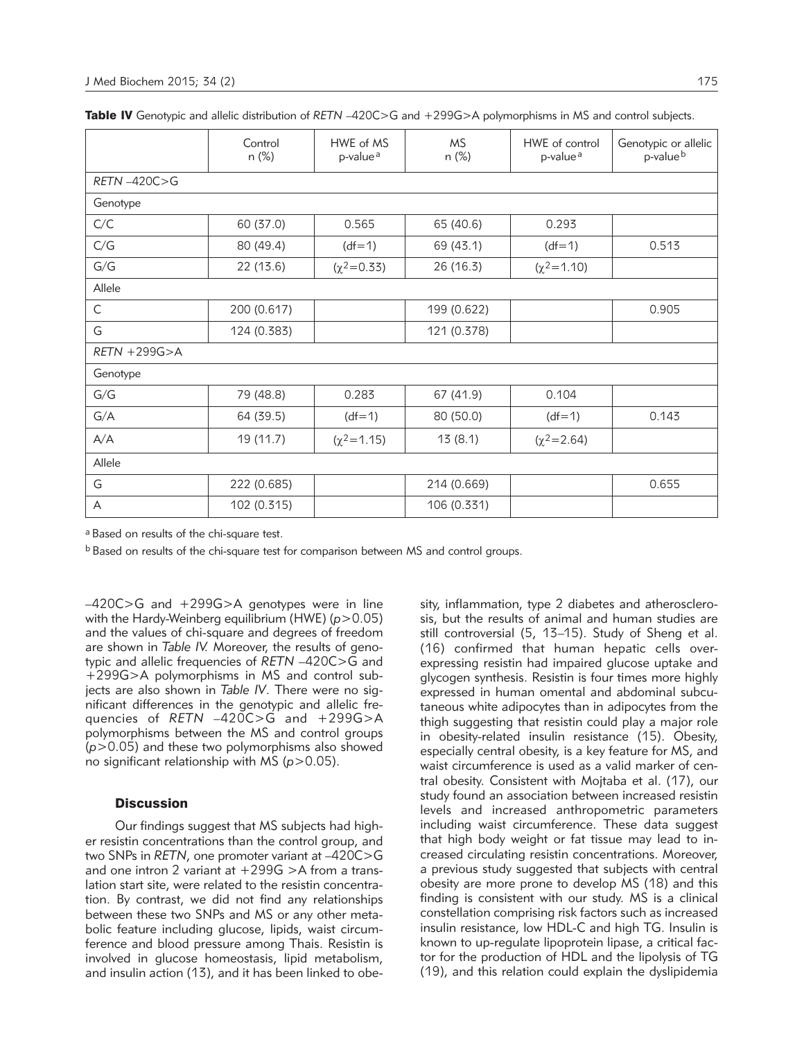|                   | Control<br>n (%) | HWE of MS<br>p-value <sup>a</sup> | <b>MS</b><br>n (%) | HWE of control<br>p-value <sup>a</sup> | Genotypic or allelic<br>p-value <sup>b</sup> |
|-------------------|------------------|-----------------------------------|--------------------|----------------------------------------|----------------------------------------------|
| $RETN -420C > G$  |                  |                                   |                    |                                        |                                              |
| Genotype          |                  |                                   |                    |                                        |                                              |
| C/C               | 60 (37.0)        | 0.565                             | 65 (40.6)          | 0.293                                  |                                              |
| C/G               | 80 (49.4)        | $(df=1)$                          | 69 (43.1)          | $(df=1)$                               | 0.513                                        |
| G/G               | 22 (13.6)        | $(x^2=0.33)$                      | 26 (16.3)          | $(x^2=1.10)$                           |                                              |
| Allele            |                  |                                   |                    |                                        |                                              |
| $\mathsf{C}$      | 200 (0.617)      |                                   | 199 (0.622)        |                                        | 0.905                                        |
| G                 | 124 (0.383)      |                                   | 121 (0.378)        |                                        |                                              |
| $RETN + 299G > A$ |                  |                                   |                    |                                        |                                              |
| Genotype          |                  |                                   |                    |                                        |                                              |
| G/G               | 79 (48.8)        | 0.283                             | 67 (41.9)          | 0.104                                  |                                              |
| G/A               | 64 (39.5)        | $(df=1)$                          | 80 (50.0)          | $(df=1)$                               | 0.143                                        |
| A/A               | 19 (11.7)        | $(x^2=1.15)$                      | 13(8.1)            | $(x^2=2.64)$                           |                                              |
| Allele            |                  |                                   |                    |                                        |                                              |
| G                 | 222 (0.685)      |                                   | 214 (0.669)        |                                        | 0.655                                        |
| А                 | 102 (0.315)      |                                   | 106 (0.331)        |                                        |                                              |

Table IV Genotypic and allelic distribution of *RETN* –420C>G and +299G>A polymorphisms in MS and control subjects.

a Based on results of the chi-square test.

b Based on results of the chi-square test for comparison between MS and control groups.

–420C>G and +299G>A genotypes were in line with the Hardy-Weinberg equilibrium (HWE) (*p*>0.05) and the values of chi-square and degrees of freedom are shown in *Table IV.* Moreover, the results of genotypic and allelic frequencies of *RETN* –420C>G and +299G>A polymorphisms in MS and control subjects are also shown in *Table IV*. There were no significant differences in the genotypic and allelic frequencies of *RETN* –420C>G and +299G>A poly morphisms between the MS and control groups (*p*>0.05) and these two polymorphisms also showed no significant relationship with MS (*p*>0.05).

# **Discussion**

Our findings suggest that MS subjects had higher resistin concentrations than the control group, and two SNPs in *RETN*, one promoter variant at –420C>G and one intron 2 variant at  $+299G > A$  from a translation start site, were related to the resistin concentration. By contrast, we did not find any relationships between these two SNPs and MS or any other metabolic feature including glucose, lipids, waist circumference and blood pressure among Thais. Resistin is involved in glucose homeostasis, lipid metabolism, and insulin action (13), and it has been linked to obesity, inflammation, type 2 diabetes and atherosclerosis, but the results of animal and human studies are still controversial (5, 13–15). Study of Sheng et al. (16) confirmed that human hepatic cells overexpressing resistin had impaired glucose uptake and glycogen synthesis. Resistin is four times more highly expressed in human omental and abdominal subcutaneous white adipocytes than in adipocytes from the thigh suggesting that resistin could play a major role in obesity-related insulin resistance (15). Obesity, especially central obesity, is a key feature for MS, and waist circumference is used as a valid marker of central obesity. Consistent with Mojtaba et al. (17), our study found an association between increased resistin levels and increased anthropometric parameters including waist circumference. These data suggest that high body weight or fat tissue may lead to increased circulating resistin concentrations. Moreover, a previous study suggested that subjects with central obesity are more prone to develop MS (18) and this finding is consistent with our study. MS is a clinical constellation comprising risk factors such as increased insulin resistance, low HDL-C and high TG. Insulin is known to up-regulate lipoprotein lipase, a critical factor for the production of HDL and the lipolysis of TG (19), and this relation could explain the dyslipidemia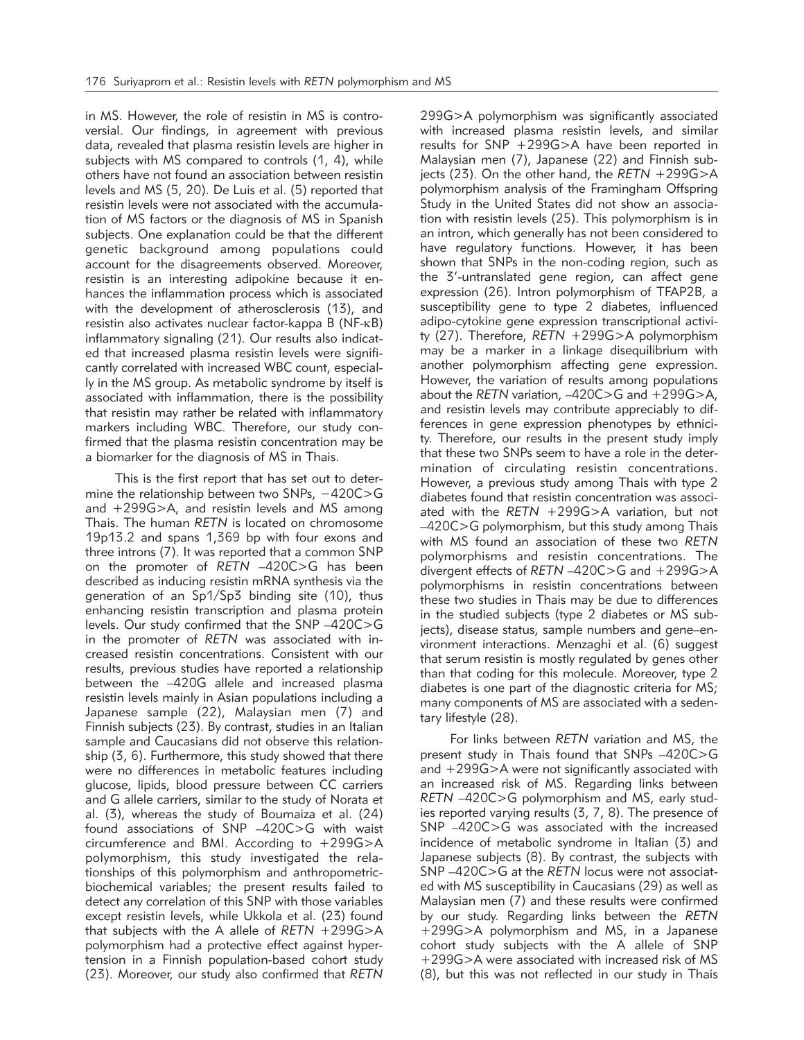in MS. However, the role of resistin in MS is controversial. Our findings, in agreement with previous data, revealed that plasma resistin levels are higher in subjects with MS compared to controls (1, 4), while others have not found an association between resistin levels and MS (5, 20). De Luis et al. (5) reported that resistin levels were not associated with the accumulation of MS factors or the diagnosis of MS in Spanish subjects. One explanation could be that the different genetic background among populations could account for the disagreements observed. Moreover, resistin is an interesting adipokine because it enhances the inflammation process which is associated with the development of atherosclerosis (13), and resistin also activates nuclear factor-kappa B (NF-kB) inflammatory signaling (21). Our results also indicated that increased plasma resistin levels were significantly correlated with increased WBC count, especially in the MS group. As metabolic syndrome by itself is associated with inflammation, there is the possibility that resistin may rather be related with inflammatory markers including WBC. Therefore, our study confirmed that the plasma resistin concentration may be a biomarker for the diagnosis of MS in Thais.

This is the first report that has set out to determine the relationship between two SNPs, −420C>G and +299G>A, and resistin levels and MS among Thais. The human *RETN* is located on chromosome 19p13.2 and spans 1,369 bp with four exons and three introns (7). It was reported that a common SNP on the promoter of *RETN* –420C>G has been described as inducing resistin mRNA synthesis via the generation of an Sp1/Sp3 binding site (10), thus enhancing resistin transcription and plasma protein levels. Our study confirmed that the SNP –420C>G in the promoter of *RETN* was associated with increased resistin concentrations. Consistent with our results, previous studies have reported a relationship between the –420G allele and increased plasma resistin levels mainly in Asian populations including a Japanese sample (22), Malaysian men (7) and Finnish subjects (23). By contrast, studies in an Italian sample and Caucasians did not observe this relationship (3, 6). Furthermore, this study showed that there were no differences in metabolic features including glucose, lipids, blood pressure between CC carriers and G allele carriers, similar to the study of Norata et al. (3), whereas the study of Boumaiza et al. (24) found associations of SNP –420C>G with waist circum ference and BMI. According to +299G>A polymorphism, this study investigated the relationships of this polymorphism and anthropometricbiochemical variables; the present results failed to detect any correlation of this SNP with those variables except resistin levels, while Ukkola et al. (23) found that subjects with the A allele of *RETN* +299G>A polymorphism had a protective effect against hypertension in a Finnish population-based cohort study (23). Moreover, our study also confirmed that *RETN*

299G>A polymorphism was significantly associated with increased plasma resistin levels, and similar results for SNP +299G>A have been reported in Malaysian men (7), Japanese (22) and Finnish subjects (23). On the other hand, the *RETN* +299G>A polymorphism analysis of the Framingham Offspring Study in the United States did not show an association with resistin levels (25). This polymorphism is in an intron, which generally has not been considered to have regulatory functions. However, it has been shown that SNPs in the non-coding region, such as the 3'-untranslated gene region, can affect gene expression (26). Intron polymorphism of TFAP2B, a susceptibility gene to type 2 diabetes, influenced adipo-cytokine gene expression transcriptional activity (27). Therefore, *RETN* +299G>A polymorphism may be a marker in a linkage disequilibrium with another polymorphism affecting gene expression. However, the variation of results among populations about the *RETN* variation, –420C>G and +299G>A, and resistin levels may contribute appreciably to differences in gene expression phenotypes by ethnicity. Therefore, our results in the present study imply that these two SNPs seem to have a role in the determination of circulating resistin concentrations. However, a previous study among Thais with type 2 diabetes found that resistin concentration was associated with the *RETN* +299G>A variation, but not –420C>G polymorphism, but this study among Thais with MS found an association of these two *RETN* polymorphisms and resistin concentrations. The divergent effects of *RETN* –420C>G and +299G>A polymorphisms in resistin concentrations between these two studies in Thais may be due to differences in the studied subjects (type 2 diabetes or MS subjects), disease status, sample numbers and gene-environment interactions. Menzaghi et al. (6) suggest that serum resistin is mostly regulated by genes other than that coding for this molecule. Moreover, type 2 diabetes is one part of the diagnostic criteria for MS; many components of MS are associated with a sedentary lifestyle (28).

For links between *RETN* variation and MS, the present study in Thais found that SNPs –420C>G and +299G>A were not significantly associated with an increased risk of MS. Regarding links between *RETN* –420C>G polymorphism and MS, early studies reported varying results (3, 7, 8). The presence of SNP –420C>G was associated with the increased incidence of metabolic syndrome in Italian (3) and Japanese subjects (8). By contrast, the subjects with SNP –420C>G at the *RETN* locus were not associated with MS susceptibility in Caucasians (29) as well as Malaysian men (7) and these results were confirmed by our study. Regarding links between the *RETN* +299G>A polymorphism and MS, in a Japanese cohort study subjects with the A allele of SNP +299G>A were associated with increased risk of MS (8), but this was not reflected in our study in Thais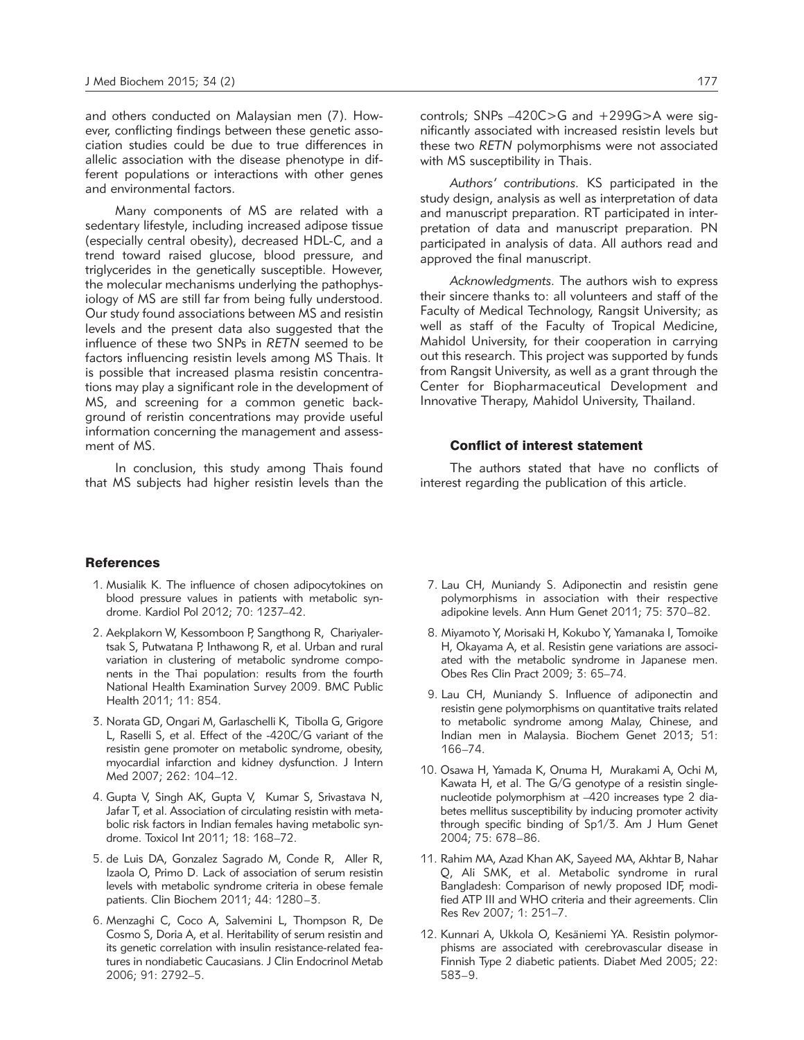and others conducted on Malaysian men (7). However, conflicting findings between these genetic association studies could be due to true differences in allelic association with the disease phenotype in different populations or interactions with other genes and environmental factors.

Many components of MS are related with a sedentary lifestyle, including increased adipose tissue (especially central obesity), decreased HDL-C, and a trend toward raised glucose, blood pressure, and triglycerides in the genetically susceptible. However, the molecular mechanisms underlying the pathophysiology of MS are still far from being fully understood. Our study found associations between MS and resistin levels and the present data also suggested that the influence of these two SNPs in *RETN* seemed to be factors influencing resistin levels among MS Thais. It is possible that increased plasma resistin concentrations may play a significant role in the development of MS, and screening for a common genetic background of reristin concentrations may provide useful information concerning the management and assessment of MS.

In conclusion, this study among Thais found that MS subjects had higher resistin levels than the

# **References**

- 1. Musialik K. The influence of chosen adipocytokines on blood pressure values in patients with metabolic syndrome. Kardiol Pol 2012; 70: 1237–42.
- 2. Aekplakorn W, Kessomboon P, Sangthong R, Chariyalertsak S, Putwatana P, Inthawong R, et al. Urban and rural variation in clustering of metabolic syndrome components in the Thai population: results from the fourth National Health Examination Survey 2009. BMC Public Health 2011; 11: 854.
- 3. Norata GD, Ongari M, Garlaschelli K, Tibolla G, Grigore L, Raselli S, et al. Effect of the -420C/G variant of the resistin gene promoter on metabolic syndrome, obesity, myocardial infarction and kidney dysfunction. J Intern Med 2007; 262: 104–12.
- 4. Gupta V, Singh AK, Gupta V, Kumar S, Srivastava N, Jafar T, et al. Association of circulating resistin with metabolic risk factors in Indian females having metabolic syndrome. Toxicol Int 2011; 18: 168–72.
- 5. de Luis DA, Gonzalez Sagrado M, Conde R, Aller R, Izaola O, Primo D. Lack of association of serum resistin levels with metabolic syndrome criteria in obese female patients. Clin Biochem 2011; 44: 1280–3.
- 6. Menzaghi C, Coco A, Salvemini L, Thompson R, De Cosmo S, Doria A, et al. Heritability of serum resistin and its genetic correlation with insulin resistance-related features in nondiabetic Caucasians. J Clin Endocrinol Metab 2006; 91: 2792–5.

*Authors' contributions.* KS participated in the study design, analysis as well as interpretation of data and manuscript preparation. RT participated in interpretation of data and manuscript preparation. PN participated in analysis of data. All authors read and approved the final manuscript.

*Acknowledgments.* The authors wish to express their sincere thanks to: all volunteers and staff of the Faculty of Medical Technology, Rangsit University; as well as staff of the Faculty of Tropical Medicine, Mahidol University, for their cooperation in carrying out this research. This project was supported by funds from Rangsit University, as well as a grant through the Center for Biopharmaceutical Development and Innovative Therapy, Mahidol University, Thailand.

# Conflict of interest statement

The authors stated that have no conflicts of interest regarding the publication of this article.

- 7. Lau CH, Muniandy S. Adiponectin and resistin gene polymorphisms in association with their respective adipokine levels. Ann Hum Genet 2011; 75: 370–82.
- 8. Miyamoto Y, Morisaki H, Kokubo Y, Yamanaka I, Tomoike H, Okayama A, et al. Resistin gene variations are associated with the metabolic syndrome in Japanese men. Obes Res Clin Pract 2009; 3: 65–74.
- 9. Lau CH, Muniandy S. Influence of adiponectin and resistin gene polymorphisms on quantitative traits related to metabolic syndrome among Malay, Chinese, and Indian men in Malaysia. Biochem Genet 2013; 51: 166–74.
- 10. Osawa H, Yamada K, Onuma H, Murakami A, Ochi M, Kawata H, et al. The G/G genotype of a resistin singlenucleotide polymorphism at –420 increases type 2 diabetes mellitus susceptibility by inducing promoter activity through specific binding of Sp1/3. Am J Hum Genet 2004; 75: 678–86.
- 11. Rahim MA, Azad Khan AK, Sayeed MA, Akhtar B, Nahar Q, Ali SMK, et al. Metabolic syndrome in rural Bangladesh: Comparison of newly proposed IDF, modified ATP III and WHO criteria and their agreements. Clin Res Rev 2007; 1: 251–7.
- 12. Kunnari A, Ukkola O, Kesäniemi YA. Resistin polymorphisms are associated with cerebrovascular disease in Finnish Type 2 diabetic patients. Diabet Med 2005; 22: 583–9.